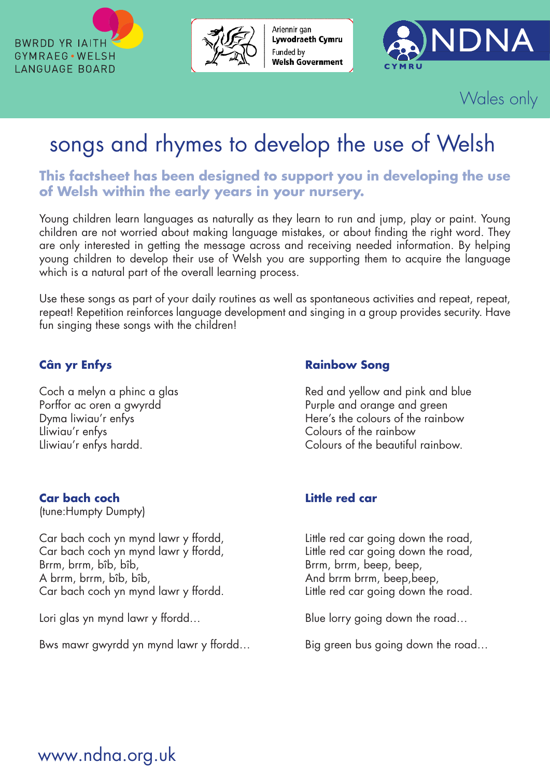



Ariennir gan Lywodraeth Cymru Funded by **Welsh Government** 



Wales only

# songs and rhymes to develop the use of Welsh

**This factsheet has been designed to support you in developing the use of Welsh within the early years in your nursery.**

Young children learn languages as naturally as they learn to run and jump, play or paint. Young children are not worried about making language mistakes, or about finding the right word. They are only interested in getting the message across and receiving needed information. By helping young children to develop their use of Welsh you are supporting them to acquire the language which is a natural part of the overall learning process.

Use these songs as part of your daily routines as well as spontaneous activities and repeat, repeat, repeat! Repetition reinforces language development and singing in a group provides security. Have fun singing these songs with the children!

Lliwiau'r enfys Colours of the rainbow

### **Car bach coch Little red car**

(tune:Humpty Dumpty)

Car bach coch yn mynd lawr y ffordd, Little red car going down the road, Car bach coch yn mynd lawr y ffordd,<br>Brrm, brrm, breep, beep, beep, beep, beep, beep, beep, beep, beep, beep, beep, been, brrm, brrm, beep, beep, beep, been, brrm, brrm, been, been, been, been, been, been, been, been, been A brrm, brrm, bîb, bîb, And brrm brrm, beep, beep, beep, beep, beep, beep, beep, beep, beep, and brrm brrm, beep, beep,  $\frac{1}{2}$ Car bach coch yn mynd lawr y ffordd. Little red car going down the road.

Bws mawr gwyrdd yn mynd lawr y ffordd... Big green bus going down the road...

### **Cân yr Enfys Rainbow Song**

Coch a melyn a phinc a glas Red and yellow and pink and blue Porffor ac oren a gwyrdd **Purple and orange and green** Dyma liwiau'r enfys **Exercise State Colours** Here's the colours of the rainbow Lliwiau'r enfys hardd. Colours of the beautiful rainbow.

Brrm, brrm, beep, beep,

Lori glas yn mynd lawr y ffordd… er a blue lorry going down the road…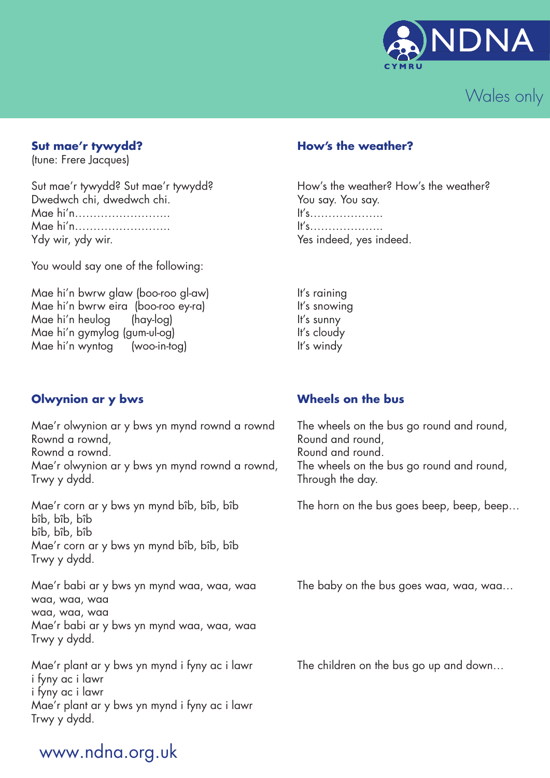



(tune: Frere Jacques)

Dwedwch chi, dwedwch chi. You say. You say. You say. Mae hi'n…………………….. It's……………….. Mae hi'n…………………….. It's……………….. Ydy wir, ydy wir. The state of the state of the Yes indeed, yes indeed.

You would say one of the following:

Mae hi'n bwrw glaw (boo-roo gl-aw) It's raining Mae hi'n bwrw eira (boo-roo ey-ra) li's snowing Mae hi'n heulog (hay-log) li's sunny Mae hi'n gymylog (gum-ul-og) li's cloudy Mae hi'n wyntog (woo-in-tog) li's windy

### **Sut mae'r tywydd? How's the weather?**

Sut mae'r tywydd? Sut mae'r tywydd? How's the weather? How's the weather?

### **Olwynion ar y bws Wheels on the bus**

Mae'r olwynion ar y bws yn mynd rownd a rownd The wheels on the bus go round and round, Rownd a rownd, the contraction of the Round and round, Rownd a rownd. The round and round. Mae'r olwynion ar y bws yn mynd rownd a rownd, The wheels on the bus go round and round, Trwy y dydd. Through the day.

bîb, bîb, bîb bîb, bîb, bîb Mae'r corn ar y bws yn mynd bîb, bîb, bîb Trwy y dydd.

Mae'r babi ar y bws yn mynd waa, waa, waa The baby on the bus goes waa, waa, waa… waa, waa, waa waa, waa, waa Mae'r babi ar y bws yn mynd waa, waa, waa Trwy y dydd.

Mae'r plant ar y bws yn mynd i fyny ac i lawr The children on the bus go up and down... i fyny ac i lawr i fyny ac i lawr Mae'r plant ar y bws yn mynd i fyny ac i lawr Trwy y dydd.

Mae'r corn ar y bws yn mynd bîb, bîb, bîb The horn on the bus goes beep, beep, beep…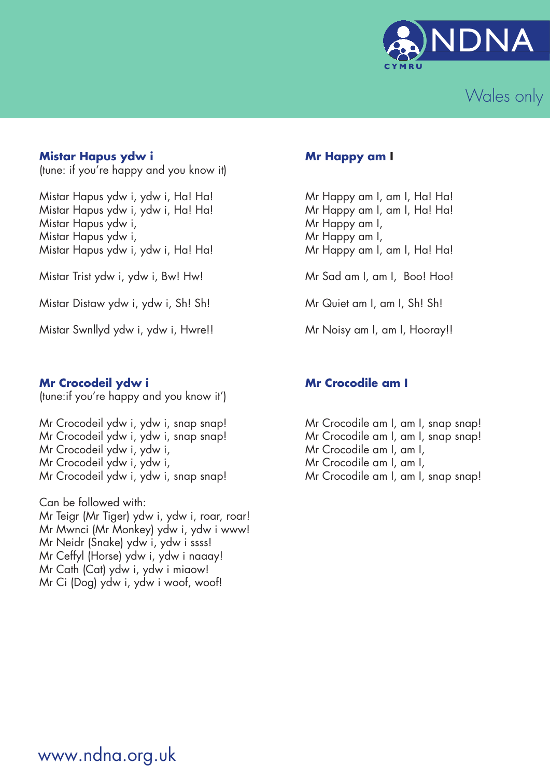



### **Mistar Hapus ydw i Mr Happy am I**

(tune: if you're happy and you know it)

Mistar Hapus ydw i, ydw i, Ha! Ha! Mistar Happy am I, am I, Ha! Ha! Mistar Hapus ydw i, ydw i, Ha! Ha! Mistar Happy am I, am I, Ha! Ha! Mistar Hapus ydw i, the most contact that the Mr Happy am I, Mistar Hapus ydw i, the monotonic method of Mr Happy am I, Mistar Hapus ydw i, ydw i, Ha! Ha! Mistar Happy am I, am I, Ha! Ha!

Mistar Trist ydw i, ydw i, Bw! Hw! Mr Sad am I, am I, Boo! Hoo!

Mistar Distaw ydw i, ydw i, Sh! Sh! Mistar am I, am I, Sh! Sh!

Mistar Swnllyd ydw i, ydw i, Hwre!! Mr Noisy am I, am I, Hooray!!

### **Mr Crocodeil ydw i Mr Crocodile am I**

(tune:if you're happy and you know it')

Mr Crocodeil ydw i, ydw i, snap snap! Mr Crocodile am I, am I, snap snap! Mr Crocodeil ydw i, ydw i,  $\frac{1}{2}$  Mr Crocodile am I, am I, Mr Crocodeil ydw i, ydw i,  $\frac{1}{2}$  Mr Crocodile am I, am I, Mr Crocodeil ydw i, ydw i, snap snap! Mr Crocodile am I, am I, snap snap!

Can be followed with: Mr Teigr (Mr Tiger) ydw i, ydw i, roar, roar! Mr Mwnci (Mr Monkey) ydw i, ydw i www! Mr Neidr (Snake) ydw i, ydw i ssss! Mr Ceffyl (Horse) ydw i, ydw i naaay! Mr Cath (Cat) ydw i, ydw i miaow! Mr Ci (Dog) ydw i, ydw i woof, woof!

Mr Crocodeil ydw i, ydw i, snap snap! Mr Crocodile am I, am I, snap snap!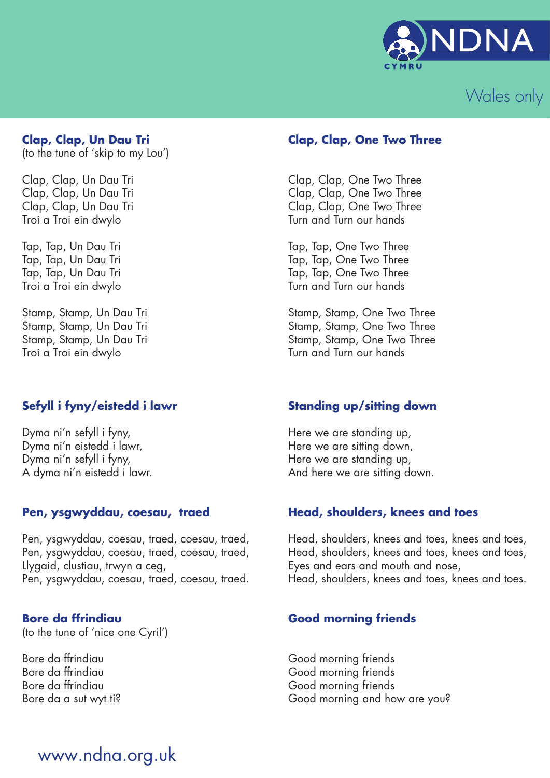



(to the tune of 'skip to my Lou')

Troi a Troi ein dwylo

Troi a Troi ein dwylo

### **Sefyll i fyny/eistedd i lawr Standing up/sitting down**

Dyma ni'n sefyll i fyny, tarraith yn y Here we are standing up, Dyma ni'n eistedd i lawr, here we are sitting down, Dyma ni'n sefyll i fyny,<br>A dyma ni'n eistedd i lawr.<br>A dyma ni'n eistedd i lawr.<br>And here we are sitting do

Llygaid, clustiau, trwyn a ceg, Eyes and ears and mouth and nose,<br>Pen, ysgwyddau, coesau, traed, coesau, traed. Head, shoulders, knees and toes, kn

(to the tune of 'nice one Cyril')

### **Clap, Clap, Un Dau Tri Clap, Clap, One Two Three**

Clap, Clap, Un Dau Tri Clap, Clap, One Two Three Clap, Clap, One Two Three Clap, Clap, Un Dau Tri Clap, Clap, One Two Three

Tap, Tap, Un Dau Tri Tap, Tap, One Two Three Tap, Tap, Un Dau Tri Tap, Tap, One Two Three Tap, Tap, Un Dau Tri Tap, Tap, One Two Three Troi a Troi ein dwylo **Turn and Turn our hands** 

Stamp, Stamp, Un Dau Tri Stamp, Stamp, One Two Three<br>Stamp, Stamp, Un Dau Tri Stamp, Stamp, Stamp, One Two Three Stamp, Stamp, Un Dau Tri Stamp, Stamp, One Two Three<br>Stamp, Stamp, Un Dau Tri Stamp, Stamp, One Two Three Stamp, Stamp, One Two Three<br>Turn and Turn our hands

And here we are sitting down.

### Pen, ysgwyddau, coesau, traed **Head, shoulders, knees and toes**

Pen, ysgwyddau, coesau, traed, coesau, traed, Head, shoulders, knees and toes, knees and toes,<br>Pen, ysgwyddau, coesau, traed, coesau, traed, Head, shoulders, knees and toes, knees and toes, Pen, ysgwyddau, coesau, traed, coesau, traed, Head, shoulders, knees and toes, knees and toes, <br>Llygaid, clustiau, trwyn a ceg, Eyes and ears and mouth and nose, Head, shoulders, knees and toes, knees and toes.

### **Bore da ffrindiau Cood morning friends**

Bore da ffrindiau Good morning friends Bore da ffrindiau Good morning friends Bore da ffrindiau Good morning friends Bore da a sut wyt ti? The state of the Good morning and how are you?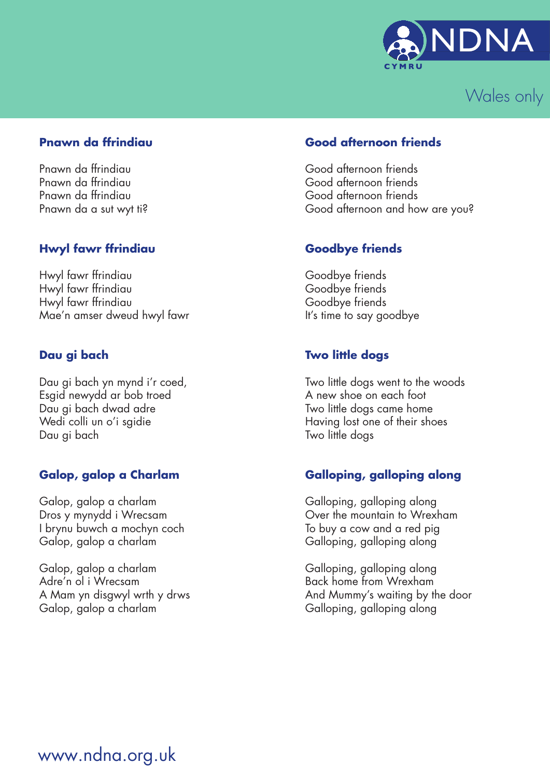



Pnawn da ffrindiau Good afternoon friends

### **Hwyl fawr ffrindiau Goodbye friends**

Hwyl fawr ffrindiau Goodbye friends Hwyl fawr ffrindiau Goodbye friends Hwyl fawr ffrindiau Goodbye friends Mae'n amser dweud hwyl fawr **It's time to say goodbye** 

Dau gi bach yn mynd i'r coed, Two little dogs went to the woods Esgid newydd ar bob troed A new shoe on each foot Dau gi bach dwad adre Two little dogs came home Wedi colli un o'i sgidie **Having lost one of their shoes** Dau gi bach Two little dogs

Galop, galop a charlam Galloping, galloping along I brynu buwch a mochyn coch To buy a cow and a red pig Galop, galop a charlam Galloping, galloping along

Galop, galop a charlam Galloping, galloping along Adre'n ol i Wrecsam **Back home from Wrexham** Galop, galop a charlam Galloping, galloping along

### **Pnawn da ffrindiau Good afternoon friends**

Pnawn da ffrindiau Good afternoon friends Pnawn da ffrindiau Good afternoon friends Pnawn da a sut wyt ti? Cood afternoon and how are you?

### **Dau gi bach Two little dogs**

### **Galop, galop a Charlam Galloping, galloping along**

Dros y mynydd i Wrecsam **Over the mountain to Wrexham** 

A Mam yn disgwyl wrth y drws And Mummy's waiting by the door